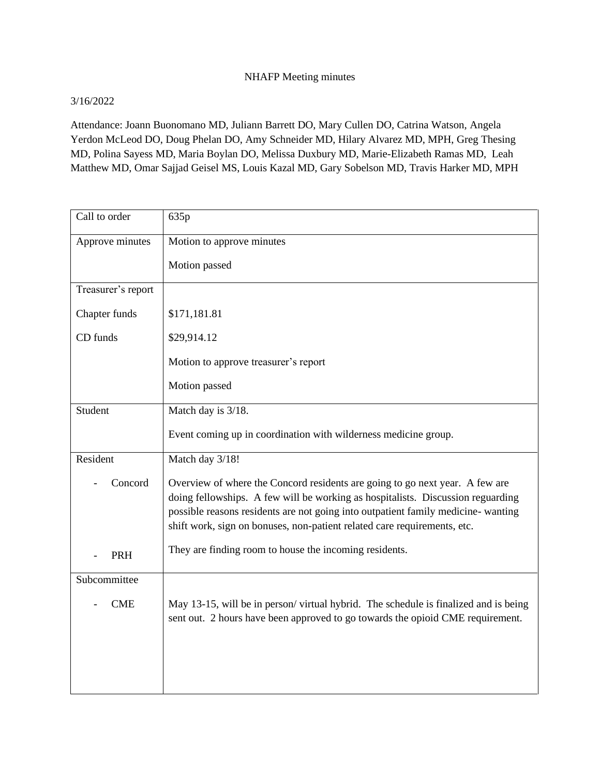## NHAFP Meeting minutes

## 3/16/2022

Attendance: Joann Buonomano MD, Juliann Barrett DO, Mary Cullen DO, Catrina Watson, Angela Yerdon McLeod DO, Doug Phelan DO, Amy Schneider MD, Hilary Alvarez MD, MPH, Greg Thesing MD, Polina Sayess MD, Maria Boylan DO, Melissa Duxbury MD, Marie-Elizabeth Ramas MD, Leah Matthew MD, Omar Sajjad Geisel MS, Louis Kazal MD, Gary Sobelson MD, Travis Harker MD, MPH

| Call to order      | 635p                                                                                                                                                                                                                                                                                                                             |
|--------------------|----------------------------------------------------------------------------------------------------------------------------------------------------------------------------------------------------------------------------------------------------------------------------------------------------------------------------------|
| Approve minutes    | Motion to approve minutes                                                                                                                                                                                                                                                                                                        |
|                    | Motion passed                                                                                                                                                                                                                                                                                                                    |
| Treasurer's report |                                                                                                                                                                                                                                                                                                                                  |
| Chapter funds      | \$171,181.81                                                                                                                                                                                                                                                                                                                     |
| CD funds           | \$29,914.12                                                                                                                                                                                                                                                                                                                      |
|                    | Motion to approve treasurer's report                                                                                                                                                                                                                                                                                             |
|                    | Motion passed                                                                                                                                                                                                                                                                                                                    |
| Student            | Match day is 3/18.                                                                                                                                                                                                                                                                                                               |
|                    | Event coming up in coordination with wilderness medicine group.                                                                                                                                                                                                                                                                  |
| Resident           | Match day 3/18!                                                                                                                                                                                                                                                                                                                  |
| Concord            | Overview of where the Concord residents are going to go next year. A few are<br>doing fellowships. A few will be working as hospitalists. Discussion reguarding<br>possible reasons residents are not going into outpatient family medicine- wanting<br>shift work, sign on bonuses, non-patient related care requirements, etc. |
| PRH                | They are finding room to house the incoming residents.                                                                                                                                                                                                                                                                           |
| Subcommittee       |                                                                                                                                                                                                                                                                                                                                  |
| <b>CME</b>         | May 13-15, will be in person/virtual hybrid. The schedule is finalized and is being<br>sent out. 2 hours have been approved to go towards the opioid CME requirement.                                                                                                                                                            |
|                    |                                                                                                                                                                                                                                                                                                                                  |